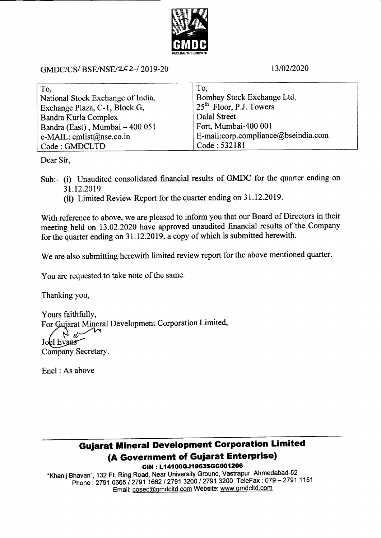

GMDC/CS/ BSE/NSE/242-/ 2019-20 13/02/2020

| To.                               | To.                                 |
|-----------------------------------|-------------------------------------|
| National Stock Exchange of India, | Bombay Stock Exchange Ltd.          |
| Exchange Plaza, C-1, Block G,     | $25th$ Floor, P.J. Towers           |
| Bandra Kurla Complex              | Dalal Street                        |
| Bandra (East), Mumbai - 400 051   | Fort, Mumbai-400 001                |
| e-MAIL: cmlist@nse.co.in          | E-mail:corp.compliance@bseindia.com |
| Code: GMDCLTD                     | Code: 532181                        |

Dear Sir,

Sub:- (i) Unaudited consolidated financial results of GMDC for the quarter ending on 31.12.2019

(ii) Limited Review Report for the quarter ending on 31.12.2019.

With reference to above, we are pleased to inform you that our Board of Directors in their meeting held on 13.02.2020 have approved unaudited financial results of the Company for the quarter ending on 31 .12.2019. a copy of which is submitted herewith.

We are also submitting herewith limited review report for the above mentioned quarter.

You are requested to take note of the same.

Thanking you.

Yours faithfully, For Gujarat Mineral Development Corporation Limited, Joel Evans Company Secretary.

Encl :As above

## Gujarat Mineral Development Gorporation Limited (A Government of Guiarat Enterprise)

CIN: L14100GJ1963SGC001206

"Khanij Bhavan", 132 Ft. Ring Road, Near University Ground, Vastrapur, Ahmedabad-52 havan , 152 t t thing fload, 1921 5 mm = 1200 / 2791 3200 TeleFax : 079 – 2791 1151 Email: cosec@qmdcltd.com Website: www.qmdcltd.com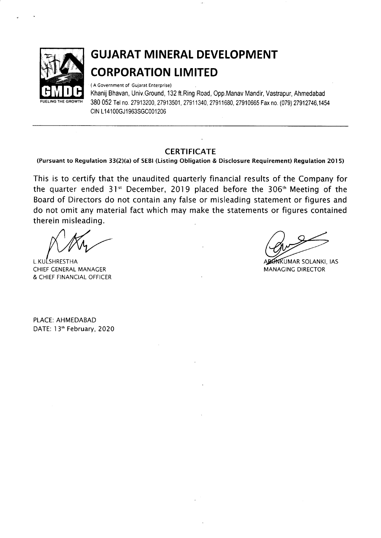

# GUJARAT MINERAL DEVELOPMENT CORPORATION L!MITED

( A Government of Gujarat Enterprise)

Khanij Bhavan, Univ.Ground, 132 ft.Ring Road, Opp,Manav Mandir, Vastrapur, Ahmedabad 380 052 Tel no. 27913200, 27913501, 27911340, 27911680, 27910665 Fax no. (079) 27912746,1454 CIN L14100GJ1963SGC001206

#### **CERTIFICATE**

(Pursuant to Regulation 33(2)(a) of SEBI (Listing Obligation & Disclosure Requirement) Regulation 2015)

This is to certify that the unaudited quarterly financial results of the Company for the quarter ended 31" December, 2019 placed before the 306'h Meeting of the Board of Directors do not contain any false or misleading statement or figures and do not omit any material fact which may make the statements or figures contained therein misleading.

L.KULSHRESTHA UMAR SOLANKI, IAS CHIEF CENERAL MANACER & CHIEF FINANCIAL OFFICER

MANACINC DIRECTOR

PLACE: AHMEDABAD DATE: I 3'h February, 2020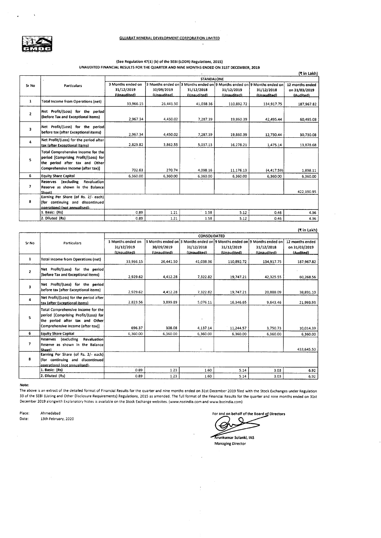

#### (See Regulation 47(1) (b) of the SEBI (LODR) Regulations, 2015) UNAUDITED FINANCIAI. RESULTS FOR THE QUARTER AND NINE MONTHS ENDED ON 31ST DECEMBER, 2019

|                         |                                                                                                                                                   |                                                |                           |                           |                                                                                                      |                           | (₹ in Lakh)                                   |  |
|-------------------------|---------------------------------------------------------------------------------------------------------------------------------------------------|------------------------------------------------|---------------------------|---------------------------|------------------------------------------------------------------------------------------------------|---------------------------|-----------------------------------------------|--|
|                         |                                                                                                                                                   | <b>STANDALONE</b>                              |                           |                           |                                                                                                      |                           |                                               |  |
| Sr No                   | <b>Particulars</b>                                                                                                                                | 3 Months ended on<br>31/12/2019<br>(Unaudited) | 30/09/2019<br>(Unaudited) | 31/12/2018<br>(Unaudited) | 3 Months ended on 3 Months ended on 9 Months ended on 9 Months ended on<br>31/12/2019<br>(Unaudited) | 31/12/2018<br>(Unaudited) | 12 months ended<br>on 31/03/2019<br>(Audited) |  |
| $\mathbf{1}$            | <b>Total Income from Operations (net)</b>                                                                                                         | 33,966.15                                      | 26,441.50                 | 41,038.36                 | 110,892.72                                                                                           | 134,917.75                | 187,967.82                                    |  |
| $\overline{2}$          | Net Profit/(Loss) for the period<br>(before Tax and Exceptional items)                                                                            | 2,967.34                                       | 4,450.02                  | 7,287.39                  | 19,860.39                                                                                            | 42,495.44                 | 60,495.08                                     |  |
| $\overline{\mathbf{3}}$ | Net Profit/(Loss) for the period<br>before tax (after Exceptional items)                                                                          | 2.967.34                                       | 4,450.02                  | 7,287.39                  | 19,860.39                                                                                            | 12,730.44                 | 30,730.08                                     |  |
| 4                       | Net Profit/(Loss) for the period after<br>tax (after Exceptional items)                                                                           | 2,829.82                                       | 3,862.55                  | 5,037.13                  | 16.278.21                                                                                            | 1,475.14                  | 13,878.68                                     |  |
| 5.                      | Total Comprehensive Income for the<br>period [Comprising Profit/(Loss) for<br>the period after tax and Other<br>Comprehensive Income (after tax)] | 702.63                                         | 270.74                    | 4,098.16                  | 11,176.13                                                                                            | (4.417.59)                | 1,898.11                                      |  |
| 6                       | <b>Equity Share Capital</b>                                                                                                                       | 6,360.00                                       | 6,360.00                  | 6,360.00                  | 6,360.00                                                                                             | 6,360.00                  | 6,360.00                                      |  |
| $\overline{ }$          | Reserves<br><i>l</i> excluding<br>Revaluation<br>Reserve as shown in the Balance<br>Sheet)                                                        |                                                |                           |                           |                                                                                                      |                           | 422,190.95                                    |  |
| 8                       | Earning Per Share (of Rs. 2/- each)<br>(for continuing and discontinued<br>operations) (not annualised)-                                          |                                                |                           |                           |                                                                                                      |                           |                                               |  |
|                         | 1. Basic: (Rs)                                                                                                                                    | 0.89                                           | 1.21                      | 1.58                      | 5.12                                                                                                 | 0.46                      | 4.36                                          |  |
|                         | 2. Diluted (Rs)                                                                                                                                   | 0.89                                           | 1.21                      | 1.58                      | 5.12                                                                                                 | 0.46                      | 4.36                                          |  |

|                |                                           |                   |             |             |                                                                         |             | (₹ in Lakh)     |  |  |
|----------------|-------------------------------------------|-------------------|-------------|-------------|-------------------------------------------------------------------------|-------------|-----------------|--|--|
|                |                                           | CONSOLIDATED      |             |             |                                                                         |             |                 |  |  |
| Sr No          | <b>Particulars</b>                        | 3 Months ended on |             |             | 3 Months ended on 3 Months ended on 9 Months ended on 9 Months ended on |             | 12 months ended |  |  |
|                |                                           | 31/12/2019        | 30/09/2019  | 31/12/2018  | 31/12/2019                                                              | 31/12/2018  | on 31/03/2019   |  |  |
|                |                                           | (Unaudited)       | (Unaudited) | (Unaudited) | (Unaudited)                                                             | (Unaudited) | (Audited)       |  |  |
| $\mathbf{1}$   | <b>Total Income from Operations (net)</b> | 33.966.15         | 26,441.50   | 41,038.36   | 110,892.72                                                              | 134,917.75  | 187,967.82      |  |  |
| $\overline{2}$ | Net Profit/(Loss) for the period          |                   |             |             |                                                                         |             |                 |  |  |
|                | (before Tax and Exceptional items)        | 2,929.62          | 4,412.28    | 7,322.82    | 19,747.21                                                               | 42,325.55   | 60,268.56       |  |  |
| 3              | Net Profit/(Loss) for the period!         |                   |             |             |                                                                         |             |                 |  |  |
|                | before tax (after Exceptional items)      | 2.929.62          | 4,412.28    | 7.322.82    | 19,747.21                                                               | 20,888.09   | 38,831.10       |  |  |
| 4              | Net Profit/(Loss) for the period after    | 2.823.56          | 3.899.89    | 5.076.11    | 16,346.65                                                               | 9.643.46    | 21,993.93       |  |  |
|                | tax (after Exceptional items)             |                   |             |             |                                                                         |             |                 |  |  |
|                | Total Comprehensive Income for the        |                   |             |             |                                                                         |             |                 |  |  |
| 5              | period [Comprising Profit/(Loss) for      |                   |             |             |                                                                         |             |                 |  |  |
|                | the period after tax and Other            |                   |             |             |                                                                         |             |                 |  |  |
|                | Comprehensive Income (after tax)]         | 696.37            | 308.08      | 4,137.14    | 11.244.57                                                               | 3,750.73    | 10,014.39       |  |  |
| 6              | <b>Equity Share Capital</b>               | 6,360.00          | 6,360.00    | 6,360.00    | 6,360.00                                                                | 6,360.00    | 6,360.00        |  |  |
|                | Reserves<br>(excluding<br>Revaluation     |                   |             |             |                                                                         |             |                 |  |  |
| 7              | Reserve as shown in the Balance           |                   |             |             |                                                                         |             |                 |  |  |
|                | Sheeth                                    |                   |             | ×           |                                                                         |             | 433.645.50      |  |  |
|                | Earning Per Share (of Rs. 2/- each)       |                   |             |             |                                                                         |             |                 |  |  |
| 8              | (for continuing and discontinued)         |                   |             |             |                                                                         |             |                 |  |  |
|                | operations) (not annualised)-             |                   |             |             |                                                                         |             |                 |  |  |
|                | 1. Basic: (Rs)                            | 0.89              | 1.23        | 1.60        | 5.14                                                                    | 3.03        | 6.92            |  |  |
|                | 2. Diluted (Rs)                           | 0.89              | 1.23        | 1.60        | 5.14                                                                    | 3.03        | 6.92            |  |  |

#### Note:

The above is an extract of the detailed format of Financial Results for the quarter and nine months ended on 31st December 2019 filed with the Stock Exchanges under Regulation <sup>33</sup>of the sEBl (Listing and other Disclosure Requirements) Regulations, 2015 as amended. The full format of the Financial Results for the quarter and nine months ended on 31st December 2019 alongwith Explanatory Notes is available on the Stock Exchanee websites. (www,nserndia,com and www.bseindia.com)

Place: Date: Ahmedabad 13th February, 2020

For and on behalf of the Board of Directors  $\epsilon$ 

Arunkumar Solanki, IAS Managing Director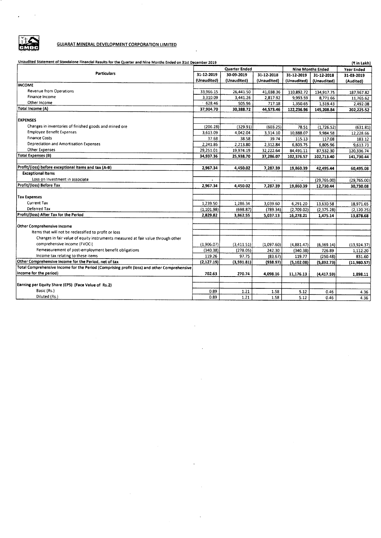

 $\hat{\mathbf{z}}$ 

 $\sim$ 

#### **GUJARAT MINERAL DEVELOPMENT CORPORATION LIMITED**

Unaudited Statement of Standalone Financial Results for the Quarter and Nine Months Ended on 31st December 2019

| Unaudited Statement of Standalone Financial Results for the Quarter and Nine Months Ended on 31st December 2019 |                      |                      |             | (₹ in Lakh)              |             |             |
|-----------------------------------------------------------------------------------------------------------------|----------------------|----------------------|-------------|--------------------------|-------------|-------------|
|                                                                                                                 | <b>Quarter Ended</b> |                      |             | <b>Nine Months Ended</b> | Year Ended  |             |
| Particulars                                                                                                     | 31-12-2019           | 30-09-2019           | 31-12-2018  | 31-12-2019               | 31-12-2018  | 31-03-2019  |
|                                                                                                                 | (Unaudited)          | (Unaudited)          | (Unaudited) | (Unaudited)              | (Unaudited) | (Audited)   |
| <b>INCOME</b>                                                                                                   |                      |                      |             |                          |             |             |
| <b>Revenue from Operations</b>                                                                                  | 33,966.15            | 26,441.50            | 41,038.36   | 110,892.72               | 134,917.75  | 187,967.82  |
| Finance Income                                                                                                  | 3,310.09             | 3,441.26             | 2,817.92    | 9,993.59                 | 8,771.66    | 11,765.62   |
| Other Income                                                                                                    | 628.46               | 505.96               | 717.18      | 1.350.65                 | 1,519.43    | 2,492.08    |
| Total Income (A)                                                                                                | 37,904.70            | 30.388.72            | 44,573.46   | 122,236.96               | 145,208.84  | 202,225.52  |
|                                                                                                                 |                      |                      |             |                          |             |             |
| <b>EXPENSES</b>                                                                                                 |                      |                      |             |                          |             |             |
| Changes in inventories of finished goods and mined ore                                                          | (206.28)             | (329.91)             | (603.25)    | 78.51                    | (1,726.52)  | (631.81)    |
| <b>Employee Benefit Expenses</b>                                                                                | 3,613.09             | 4,042.04             | 3,314.10    | 10,888.07                | 9,984.58    | 12,228.66   |
| <b>Finance Costs</b>                                                                                            | 37.68                | 38.58                | 39.74       | 115.13                   | 117.08      | 183.12      |
| Depreciation and Amortisation Expenses                                                                          | 2,241.86             | 2,213.80             | 2,312.84    | 6,803.75                 | 6,805.96    | 9,613.73    |
| Other Expenses                                                                                                  | 29,251.01            | 19,974.19            | 32,222.64   | 84,491.11                | 87,532.30   | 120,336.74  |
| <b>Total Expenses (B)</b>                                                                                       | 34,937.36            | 25,938.70            | 37,286.07   | 102,376.57               | 102,713.40  | 141,730.44  |
|                                                                                                                 |                      |                      |             |                          |             |             |
| Profit/(loss) before exceptional items and tax (A-B)                                                            | 2,967.34             | 4,450.02             | 7,287.39    | 19,860.39                | 42,495.44   | 60,495.08   |
| <b>Exceptional Items</b>                                                                                        |                      |                      |             |                          |             |             |
| Loss on Investment in associate                                                                                 |                      | $\ddot{\phantom{a}}$ |             |                          | (29,765.00) | (29,765.00) |
| Profit/(loss) Before Tax                                                                                        | 2,967.34             | 4,450.02             | 7,287.39    | 19,860.39                | 12,730.44   | 30,730.08   |
|                                                                                                                 |                      |                      |             |                          |             |             |
| <b>Tax Expenses</b>                                                                                             |                      |                      |             |                          |             |             |
| Current Tax                                                                                                     | 1,239.50             | 1,286.34             | 3,039.60    | 6,291.20                 | 13,630.58   | 18,971.65   |
| Deferred Tax                                                                                                    | (1, 101.98)          | (698.87)             | (789.34)    | (2,709.02)               | (2,375.28)  | (2, 120.25) |
| Profit/(loss) After Tax for the Period                                                                          | 2,829.82             | 3,862.55             | 5,037.13    | 16,278.21                | 1,475.14    | 13,878.68   |
|                                                                                                                 |                      |                      |             |                          |             |             |
| Other Comprehensive Income                                                                                      |                      |                      |             |                          |             |             |
| Items that will not be reclassified to profit or loss                                                           |                      |                      |             |                          |             |             |
| Changes in fair value of equity instruments measured at fair value through other                                |                      |                      |             |                          |             |             |
| comprehensive income (FVOCI)                                                                                    | (1,906.07)           | (3, 411.51)          | (1,097.60)  | (4,881.47)               | (6,369.14)  | (13,924.37) |
| Remeasurement of post-employment benefit obligations                                                            | (340.38)             | (278.05)             | 242.30      | (340.38)                 | 726.89      | 1,112.20    |
| Income tax relating to these items                                                                              | 119.26               | 97.75                | (83.67)     | 119.77                   | (250.48)    | 831.60      |
| Other Comprehensive Income for the Period, net of tax                                                           | (2, 127.19)          | (3,591.81)           | (938.97)    | (5, 102.08)              | (5,892.73)  | (11,980.57) |
| Total Comprehensive Income for the Period (Comprising profit (loss) and other Comprehensive                     |                      |                      |             |                          |             |             |
| Income for the period)                                                                                          | 702.63               | 270.74               | 4,098.16    | 11,176.13                | (4, 417.59) | 1,898.11    |
|                                                                                                                 |                      |                      |             |                          |             |             |
| Earning per Equity Share (EPS) (Face Value of Rs.2)                                                             |                      |                      |             |                          |             |             |
| Basic (Rs.)                                                                                                     | 0.89                 | 1.21                 | 1.58        | 5.12                     | 0.46        | 4.36        |
| Diluted (Rs.)                                                                                                   | 0.89                 | 1.21                 | 1.58        | 5.12                     | 0.46        | 4.36        |

 $\overline{\phantom{a}}$ 

 $\bar{\mathcal{A}}$ 

 $\bar{.}$ 

 $\sim$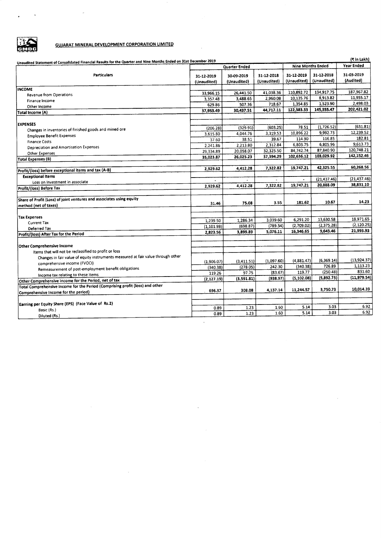

 $\cdot$ 

 $\Delta$ 

#### **GUJARAT MINERAL DEVELOPMENT CORPORATION LIMITED**

 $\sim$   $\sim$ 

J.

| Unaudited Statement of Consolidated Financial Results for the Quarter and Nine Months Ended on 31st December 2019 |             |               |             |                          |                        | (₹ in Lakh)              |  |
|-------------------------------------------------------------------------------------------------------------------|-------------|---------------|-------------|--------------------------|------------------------|--------------------------|--|
|                                                                                                                   |             | Quarter Ended |             | <b>Nine Months Ended</b> |                        | Year Ended               |  |
| <b>Particulars</b>                                                                                                | 31-12-2019  | 30-09-2019    | 31-12-2018  | 31-12-2019               | 31-12-2018             | 31-03-2019               |  |
|                                                                                                                   | (Unaudited) | (Unaudited)   | (Unaudited) | (Unaudited)              | (Unaudited)            | (Audited)                |  |
|                                                                                                                   |             |               |             |                          |                        |                          |  |
| INCOME                                                                                                            | 33,966.15   | 26,441.50     | 41,038.36   | 110,892.72               | 134,917.75             | 187,967.82               |  |
| Revenue from Operations                                                                                           | 3.357.48    | 3,488.65      | 2,960.08    | 10,135.76                | 8,913.82               | 11,955.17                |  |
| Finance Income                                                                                                    | 629.86      | 507.36        | 718.67      | 1,354.85                 | 1,523.90               | 2,498.03                 |  |
| Other Income                                                                                                      | 37,953.49   | 30,437.51     | 44.717.11   | 122,383.33               | 145,355.47             | 202,421.02               |  |
| Total Income (A)                                                                                                  |             |               |             |                          |                        |                          |  |
|                                                                                                                   |             |               |             |                          |                        |                          |  |
| <b>EXPENSES</b><br>Changes in inventories of finished goods and mined ore                                         | (206.28)    | (329.91)      | (603.25)    | 78.51                    | (1.726.52)             | (631.81)                 |  |
|                                                                                                                   | 3,615.80    | 4,044.76      | 3,319.53    | 10,896.22                | 9,992.73               | 12,239.52                |  |
| <b>Employee Benefit Expenses</b><br><b>Finance Costs</b>                                                          | 37.60       | 38.51         | 39.67       | 114.90                   | 116.85                 | 182.81                   |  |
| Depreciation and Amortisation Expenses                                                                            | 2,241.86    | 2,213.80      | 2.312.84    | 6,803.75                 | 6,805.96               | 9,613.73                 |  |
|                                                                                                                   | 29,334.89   | 20,058.07     | 32,325.50   | 84,742.74                | 87,840.90              | 120,748.21               |  |
| <b>Other Expenses</b><br><b>Total Expenses (B)</b>                                                                | 35,023.87   | 26,025.23     | 37,394.29   | 102,636.12               | 103,029.92             | 142,152.46               |  |
|                                                                                                                   |             |               |             |                          |                        |                          |  |
| Profit/(loss) before exceptional items and tax (A-B)                                                              | 2.929.62    | 4.412.28      | 7,322.82    | 19,747.21                | 42,325.55              | 60,268.56                |  |
| <b>Exceptional Items</b>                                                                                          |             |               |             |                          |                        |                          |  |
| Loss on Investment in associate                                                                                   |             |               |             | $\mathbf{r}$             | (21, 437.46)           | (21, 437.46)             |  |
| Profit/(loss) Before Tax                                                                                          | 2,929.62    | 4,412.28      | 7,322.82    | 19,747.21                | 20,888.09              | 38,831.10                |  |
|                                                                                                                   |             |               |             |                          |                        |                          |  |
| Share of Profit (Loss) of joint ventures and associates using equity                                              |             |               |             |                          |                        |                          |  |
| method (net of taxes)                                                                                             | 31.46       | 75.08         | 3.55        | 181.62                   | 10.67                  | 14.23                    |  |
|                                                                                                                   |             |               |             |                          |                        |                          |  |
| <b>Tax Expenses</b>                                                                                               |             |               |             |                          |                        |                          |  |
| Current Tax                                                                                                       | 1,239.50    | 1,286.34      | 3,039.60    | 6,291.20                 | 13.630.58              | 18,971.65                |  |
| Deferred Tax                                                                                                      | (1, 101.98) | (698.87)      | (789.34)    | (2,709.02)               | (2,375.28)             | (2, 120.25)<br>21,993.93 |  |
| Profit/(loss) After Tax for the Period                                                                            | 2.823.56    | 3,899.89      | 5,076.11    | 16,346.65                | 9,643.46               |                          |  |
|                                                                                                                   |             |               |             |                          |                        |                          |  |
| Other Comprehensive Income                                                                                        |             |               |             |                          |                        |                          |  |
| Items that will not be reclassified to profit or loss                                                             |             |               |             |                          |                        |                          |  |
| Changes in fair value of equity instruments measured at fair value through other                                  |             |               |             |                          |                        | (13,924.37)              |  |
| comprehensive income (FVOCI)                                                                                      | (1.906.07)  | (3, 411.51)   | (1,097.60)  | (4,881.47)               | (6,369.14)<br>726.89   | 1.113.23                 |  |
| Remeasurement of post-employment benefit obligations                                                              | (340.38)    | (278.05)      | 242.30      | (340.38)                 |                        | 831.60                   |  |
| Income tax relating to these items                                                                                | 119.26      | 97.75         | (83.67)     | 119.77                   | (250.48)<br>(5,892.73) | (11, 979.54)             |  |
| Other Comprehensive Income for the Period, net of tax                                                             | (2.127.19)  | (3,591.81)    | (938.97)    | (5, 102.08)              |                        |                          |  |
| Total Comprehensive Income for the Period (Comprising profit (loss) and other                                     |             |               |             |                          | 3,750.73               | 10,014.39                |  |
| Comprehensive Income for the period)                                                                              | 696.37      | 308.08        | 4,137.14    | 11,244.57                |                        |                          |  |
|                                                                                                                   |             |               |             |                          |                        |                          |  |
| Earning per Equity Share (EPS) (Face Value of Rs.2)                                                               |             |               | 1.60        | 5.14                     | 3.03                   | 6.92                     |  |
| Basic (Rs.)                                                                                                       | 0.89        | 1.23<br>1.23  | 1.60        | 5.14                     | 3.03                   | 6.92                     |  |
| Diluted (Rs.)                                                                                                     | 0.89        |               |             |                          |                        |                          |  |

 $\bar{1}$ 

 $\ddot{\phantom{a}}$ 

J.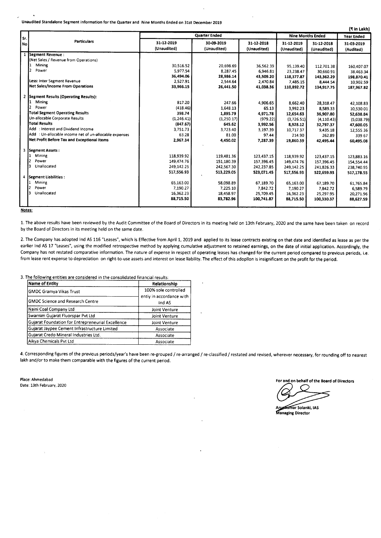Unaudited Standalone Segment Information for the Quarter and Nine Months Ended on 31st December 2019

|     |                                                        |                           |                           |                           |                           |                           | (₹ in Lakh)             |
|-----|--------------------------------------------------------|---------------------------|---------------------------|---------------------------|---------------------------|---------------------------|-------------------------|
| Sr. |                                                        |                           | <b>Quarter Ended</b>      | <b>Nine Months Ended</b>  | Year Ended                |                           |                         |
| No. | <b>Particulars</b>                                     | 31-12-2019<br>(Unaudited) | 30-09-2019<br>(Unaudited) | 31-12-2018<br>(Unaudited) | 31-12-2019<br>(Unaudited) | 31-12-2018<br>(Unaudited) | 31-03-2019<br>(Audited) |
|     | 1 Segment Revenue:                                     |                           |                           |                           |                           |                           |                         |
|     | (Net Sales / Revenue from Operations)                  |                           |                           |                           |                           |                           |                         |
|     | Mining                                                 | 30,516.52                 | 20,698.69                 | 36,562.39                 | 95,139.40                 | 112,701.38                | 160,407.07              |
|     | Power<br>12.                                           | 5,977.54                  | 8,287.45                  | 6.946.81                  | 23,238.47                 | 30,660.91                 | 38,463.34               |
|     |                                                        | 36,494.06                 | 28,986.14                 | 43,509.20                 | 118,377.87                | 143,362.29                | 198,870.41              |
|     | Less: Inter Segment Revenue                            | 2,527.91                  | 2,544.64                  | 2,470.84                  | 7,485.15                  | 8.444.54                  | 10,902.59               |
|     | Net Sales/Income From Operations                       | 33,966.15                 | 26,441.50                 | 41,038.36                 | 110,892.72                | 134,917.75                | 187,967.82              |
|     | 2 Segment Results (Operating Results):                 |                           |                           |                           |                           |                           |                         |
|     | Mining                                                 | 817.20                    | 247.66                    | 4,906.65                  | 8.662.40                  | 28,318.47                 | 42,108.83               |
|     | Power                                                  | (418.46)                  | 1,648.13                  | 65.13                     | 3,992.23                  | 8,589.33                  | 10,530.01               |
|     | <b>Total Segment Operating Results</b>                 | 398.74                    | 1,895.79                  | 4,971.78                  | 12,654.63                 | 36,907.80                 | 52,638.84               |
|     | Un-allocable Corporate Results                         | (1, 246.41)               | (1,250.17)                | (979.22)                  | (3,726.51)                | (4, 110.43)               | (5,038.79)              |
|     | <b>Total Results</b>                                   | (847.67)                  | 645.62                    | 3,992.56                  | 8,928.12                  | 32.797.37                 | 47,600.05               |
|     | Add: Interest and Dividend Income                      | 3,751.73                  | 3,723.40                  | 3.197.39                  | 10,717.37                 | 9,435.18                  | 12,555.36               |
|     | Add : Un-allocable income net of un-allocable expenses | 63.28                     | 81.00                     | 97.44                     | 214.90                    | 262.89                    | 339.67                  |
|     | Net Profit Before Tax and Exceptional Items            | 2,967.34                  | 4,450.02                  | 7,287.39                  | 19,860.39                 | 42,495.44                 | 60,495.08               |
| 3   | Segment Assets:                                        |                           |                           |                           |                           |                           |                         |
|     | Mining                                                 | 118,939.92                | 119 481.36                | 123,437.15                | 118.939.92                | 123,437.15                | 123,883.16              |
|     | l2<br>Power                                            | 149,474.76                | 151,180.39                | 157.396.45                | 149,474.76                | 157,396.45                | 154,554.44              |
|     | l3<br>Unallocated                                      | 249,142.25                | 242,567.30                | 242,237.85                | 249,142.25                | 241,826.33                | 238,740.95              |
|     |                                                        | 517,556.93                | 513,229.05                | 523,071.45                | 517,556.93                | 522,659.93                | 517,178.55              |
| 4   | Segment Liabilities:                                   |                           |                           |                           |                           |                           |                         |
|     | Mining                                                 | 65,163.00                 | 58.098.89                 | 67.189.70                 | 65,163.00                 | 67,189.70                 | 61,765.84               |
|     | Power                                                  | 7.190.27                  | 7,225.10                  | 7,842.72                  | 7,190.27                  | 7,842.72                  | 6,589.79                |
|     | 3<br>Unallocated                                       | 16,362.23                 | 18.458.97                 | 25,709.45                 | 16.362.23                 | 25.297.95                 | 20,271.96               |
|     |                                                        | 88,715.50                 | 83,782.96                 | 100,741.87                | 88,715.50                 | 100,330.37                | 88,627.59               |
|     |                                                        |                           |                           |                           |                           |                           |                         |

Notes:

1. The above results have been reviewed by the Audit Committee of the Board of Directors in its meeting held on 13th February, 2020 and the same have been taken on record by the Board of Directors in its meeting held on the same date.

2. The Company has adopted Ind AS 116 "Leases", which is Effective from April 1, 2019 and applied to its lease contracts existing on that date and identified as lease as per the earlier Ind AS 17 "Leases", using the modified retrospective method by applying cumulative adjustment to retained earnings, on the date of initial application. Accordingly, the Company has not restated comparative information. The nature of expense in respect of operating leases has changed for the current period compared to previous periods, i.e. from lease rent expense to depreciation on right-to-use assets and interest on lease liability. The effect of this adopllon is insignificant on the profit for the period.

3. The following entities are considered in the consolidated financial results:

| <b>Name of Entity</b>                             | Relationship             |
|---------------------------------------------------|--------------------------|
| <b>GMDC Gramya Vikas Trust</b>                    | 100% sole controlled     |
|                                                   | entiy in accordance with |
| <b>GMDC Science and Research Centre</b>           | Ind AS                   |
| Naini Coal Company Ltd                            | Joint Venture            |
| Swarnim Gujarat Fluorspar Pvt Ltd                 | Joint Venture            |
| Gujarat Foundation for Entrepreneurial Excellence | Joint Venture            |
| Gujarat Jaypee Cement Infrastructure Limited      | Associate                |
| Gujarat Credo Mineral Industries Ltd.             | Associate                |
| Aikya Chemicals Pvt Ltd                           | Associate                |

4. Corresponding figures of the previous periods/year's have been re-grouped / re-arranged / re-classified / restated and revised, wherever necessary, for rounding off to nearest lakh and/or to make them comparable with the figures of the current period.

Place: Ahmedabad Date: 13th February, 2020

For and on behalf of the Board of Directors

tumar Solanki, IAS **Managing Director**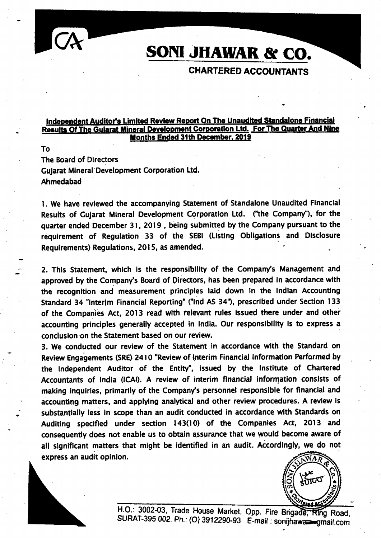# SOM JHAWAR & CO.

### CHARTERED ACCOUNTANTS

### Independent Auditor's Limited Review Report On The Unaudited Standalone Financial Results Of The Gujarat Mineral Development Corporation Ltd. For The Quarter And Nine<br>Months Ended 31th December. 2019

To The Board of Dlrectors Gujarat Mineral' Devetopment Corporation Ltd. Ahmedabad

1. We have reviewed the accompanying Statement of Standalone Unaudited Financial Results of Guiarat Mineral Development Corporation Ltd. ("the Company"), for the quarter ended December 31, 2Ol9 , being submitted by the Company pursuant to the requirement of Requiation 33 of the SEBI (Listing Obligations and Disclosure Requirements) Regulations, 2015, as amended.

2. This Statement, which is the responsibility of the Company's Management and approved by the Companyls Board of Directors, has been prepared in accordance with the recognition and measurement principles laid down ln the lndian Accounting Standard 34 "Interim Financial Reporting" ("Ind AS 34"), prescribed under Section 133 of the Companies Act, 2013 read with relevant rules issued there under and other accounting principles generally accepted in India. Our responsibility is to express a conclusion on the Statement based on our review.

3. We conducted our review of the Statement in accordance wlth the Standard on Review Engagements (SRE) 2410 "Review of Interim Financial Information Performed by the Independent Auditor of the Entity", issued by the Institute of Chartered Accountants of lndia (lCAl). A review of interim flnancial information consists of making inquiries, primarily of the Company's personnel responsible for financial and accounting matters, and applying analytical and other review procedures. A review is substantially less in scope than an audit conducted in accordance with Standards on Audlting specified under section 143(10) of the Companles Act, 2013 and consequently does not enable us to obtain assurance that we would become aware of all significant matters that might be identified in an audit. Accordingly, we do not express an audit opinion.



?

H.O.: 3002-03, Trade House Market, Opp. Fire Brigade, Ring Road, SURAT-395 002. Ph.: (O) 3912290-93 E-mail : sonijhaw=gmail.com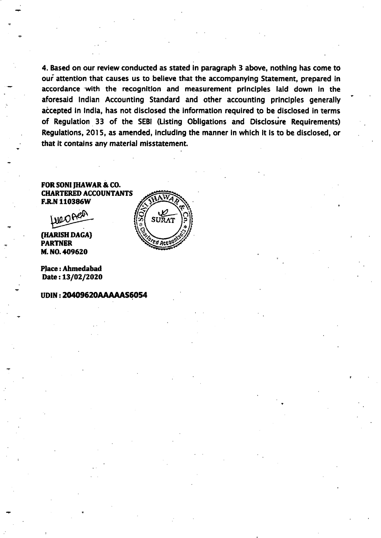4. Based on our review conducted as stated in paragraph 3 above, nothlng has come to our attention that causes us to believe that the accompanying Statement, prepared in accordance with the recognition and measurement principles laid down in the aforesaid Indian Accounting Standard and other accounting principles generally accepted in India, has not disclosed the information required to be disclosed in terms of Regulation 33 of the SEBI (Listing Obligations and Disclosure Requirements) Regulatlons, 2015, as amended, lncludlng the manner ln whlch lt ls to be disclosed, or that it contains any material misstatement.

FOR SONI IHAWAR & CO. CHARTERED ACCOUNTANTS **F.R.N 110386W** 

Lueones

(HARISH DAGA) PARTNER M. NO. \*09620

Place:Ahmedabad Date: 13/02/2020

#### UDIN: 20409620AAAAAAS6054

t

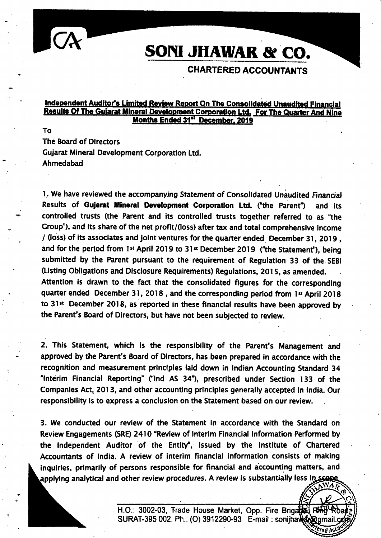

# SONI JHAWAR & CO.

### CHARTERED ACGOUNTANTS

#### Independent Auditor's Limited Review Report On The Consolidated Unaudited Financial Results Of The Gujarat Mineral Development Corporation Ltd. For The Quarter And Nine Months Ended 31st December, 2019

To The Board of Directors Gujarat Mineral Development Corporatlon Ltd. Ahmedabad

l. We have reviewed the accompanylng Staternent of Consolidated Unaudited Financial Results of Gujarat Mineral Development Corporation Ltd. ("the Parent") and its controlled trusts (the Parent and its controlled trusts together referred to as 'the Group"), and its share of the net profit/(loss) after tax and total comprehensive income / (loss) of its associates and joint ventures for the quarter ended  $\,$  December 31, 2019 , and for the period from 1<sup>st</sup> April 2019 to 31<sup>st</sup> December 2019 ("the Statement"), being submitted by the Parent pursuant to the requirement of Regulation 33 of the SEB! (Listing Obligations and Dlsclosure Requlrements) Regulations, 2015, as amended. Attention is drawn to the fact that the consolidated figures for the correspondlng quarter ended December 31, 2018, and the corresponding period from 1st April 2018 to 31st December 2018, as reported in these financial results have been approved by the Parent's Board of Directors, but have not been subjected to review.

2. This Statement, which ls the responsibility of the Parent's Management and approved by the Parent's Board of Dlrectors, has been prepared in accordance with the recognition and measurement principles laid down in Indian Accounting Standard 34 "lnterim Financial Reporting" ("lnd AS 34'), prescrlbed under Sectlon 133 of the Companies Act, 2013, and other accounting principles generally accepted ln lndla. Our responsibility is to express a conclusion on the Statement based on our review.

3. We conducted our review of the Statement In accordance with the Standard on Review Engagements (SRE) 2410 "Review of Interim Financial Information Performed by the Independent Auditor of the Entity", issued by the Institute of Chartered Accountants of lndla. A review of interim financial information consists of making inquiries, primarily of persons responsible for financial and accounting matters, and applying analytical and other review procedures. A review is substantially less in scope WA.

> H.O.: 3002-03, Trade House Market, Opp. Fire Brigate SURAT-395 002. Ph.: (O) 3912290-93 E-mail : sonijhawark@gmai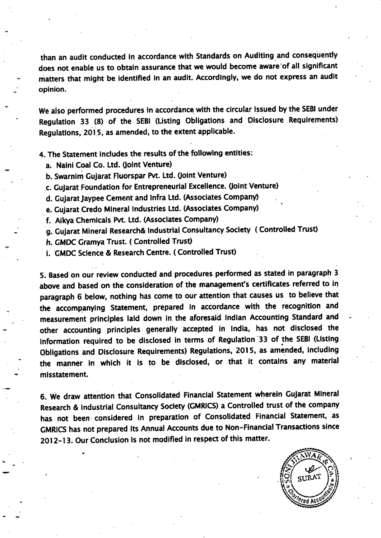than an audit conducted ln accordance with Standards on Auditing and consequently does not enable us to obtain assurance that we would become aware'of all significant matters that might be identified in an audit. Accordingly, we do not express an audit opinion.

We also performed procedures in accordance with the circular issued by the SEBI under Regulation 33 (8) of the SEBI (Listing Obllgatlons and Disclosure Requlrements) Regulations, 2015, as amended, to the extent applicable.

4. The Statement includes the results of the following entities:

- a. Naini Coal Co. Ltd. (lolnt Venture)
- b. Swarnim Gujarat Fluorspar Pvt. Ltd. (Joint Venture)
- c. Gujarat Foundation for Entrepreneurial Excellence. (Joint Venture)
- d. Gujarat Jaypee Cement and Infra Ltd. (Associates Company)
- e. Gujarat Credo Mineral Industries Ltd. (Associates Company)
- f. Aikya Chemicals Pvt. Ltd. (Associates Company)
- g. Gujarat Mineral Research& lndustrial consultancy Soclety ( controlled Trust)
- h. GMDC Gramya Trust. (Controlled Trust)
- i. GMDC Sclence & Research Centre. ( Controlled Trust)

5. Based on our review conducted and procedures performed as stated in paragraph <sup>3</sup> above and based on the consideration of the management's certificates referred to in paragraph 6 below, nothing has come to our attention that causes us to believe that the accompanying Statement, prepared ln accordance with the recognition and measurement princlples laid down ln the aforesaid lndian Accounting Standard and other accounting principles generally accepted in lndla, has not disclosed the information required to be disclosed in terms of Regulation 33 of the SEBI (Listing Obligations and Disclosure Requirements) Regulations, 2015, as amended, including the manner in which it is to be disclosed, or that it contains any material misstatement.

6. We draw attention that Consolldated Financlal Statement wherein Gujarat Mlneral Research & lndustrial Consultancy Soclety (GMRICS) a Controlled trust of the company has not been considered in preparation of Consolidated Financial Statement, as GMRICS has not prepared its Annual Accounts due to Non-Financial Transactions since 2Ol 2-l 3. Our Conclusion ls not modified in respect of this matter.